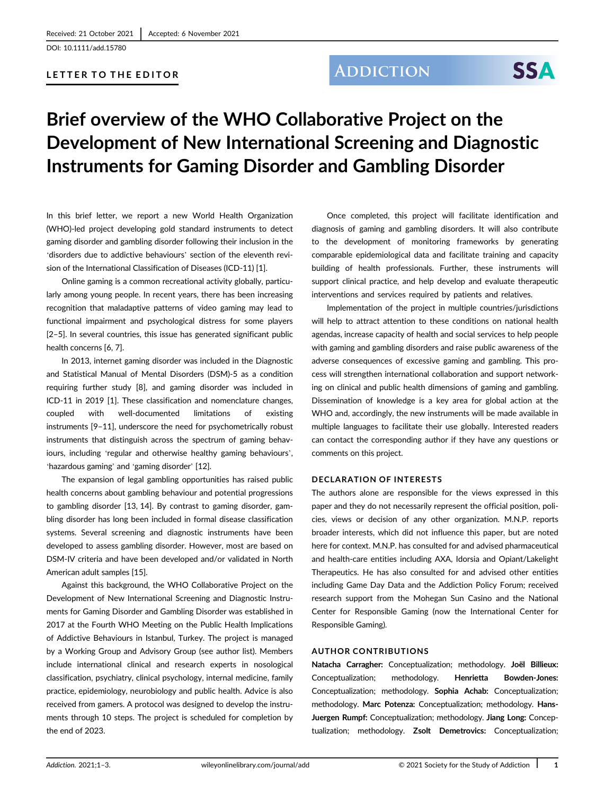DOI: 10.1111/add.15780

### LETTER TO THE EDITOR

### **ADDICTION**

# **SSA**

## Brief overview of the WHO Collaborative Project on the Development of New International Screening and Diagnostic Instruments for Gaming Disorder and Gambling Disorder

In this brief letter, we report a new World Health Organization (WHO)-led project developing gold standard instruments to detect gaming disorder and gambling disorder following their inclusion in the 'disorders due to addictive behaviours' section of the eleventh revision of the International Classification of Diseases (ICD-11) [1].

Online gaming is a common recreational activity globally, particularly among young people. In recent years, there has been increasing recognition that maladaptive patterns of video gaming may lead to functional impairment and psychological distress for some players [2–5]. In several countries, this issue has generated significant public health concerns [6, 7].

In 2013, internet gaming disorder was included in the Diagnostic and Statistical Manual of Mental Disorders (DSM)-5 as a condition requiring further study [8], and gaming disorder was included in ICD-11 in 2019 [1]. These classification and nomenclature changes, coupled with well-documented limitations of existing instruments [9–11], underscore the need for psychometrically robust instruments that distinguish across the spectrum of gaming behaviours, including 'regular and otherwise healthy gaming behaviours', 'hazardous gaming' and 'gaming disorder' [12].

The expansion of legal gambling opportunities has raised public health concerns about gambling behaviour and potential progressions to gambling disorder [13, 14]. By contrast to gaming disorder, gambling disorder has long been included in formal disease classification systems. Several screening and diagnostic instruments have been developed to assess gambling disorder. However, most are based on DSM-IV criteria and have been developed and/or validated in North American adult samples [15].

Against this background, the WHO Collaborative Project on the Development of New International Screening and Diagnostic Instruments for Gaming Disorder and Gambling Disorder was established in 2017 at the Fourth WHO Meeting on the Public Health Implications of Addictive Behaviours in Istanbul, Turkey. The project is managed by a Working Group and Advisory Group (see author list). Members include international clinical and research experts in nosological classification, psychiatry, clinical psychology, internal medicine, family practice, epidemiology, neurobiology and public health. Advice is also received from gamers. A protocol was designed to develop the instruments through 10 steps. The project is scheduled for completion by the end of 2023.

Once completed, this project will facilitate identification and diagnosis of gaming and gambling disorders. It will also contribute to the development of monitoring frameworks by generating comparable epidemiological data and facilitate training and capacity building of health professionals. Further, these instruments will support clinical practice, and help develop and evaluate therapeutic interventions and services required by patients and relatives.

Implementation of the project in multiple countries/jurisdictions will help to attract attention to these conditions on national health agendas, increase capacity of health and social services to help people with gaming and gambling disorders and raise public awareness of the adverse consequences of excessive gaming and gambling. This process will strengthen international collaboration and support networking on clinical and public health dimensions of gaming and gambling. Dissemination of knowledge is a key area for global action at the WHO and, accordingly, the new instruments will be made available in multiple languages to facilitate their use globally. Interested readers can contact the corresponding author if they have any questions or comments on this project.

#### DECLARATION OF INTERESTS

The authors alone are responsible for the views expressed in this paper and they do not necessarily represent the official position, policies, views or decision of any other organization. M.N.P. reports broader interests, which did not influence this paper, but are noted here for context. M.N.P. has consulted for and advised pharmaceutical and health-care entities including AXA, Idorsia and Opiant/Lakelight Therapeutics. He has also consulted for and advised other entities including Game Day Data and the Addiction Policy Forum; received research support from the Mohegan Sun Casino and the National Center for Responsible Gaming (now the International Center for Responsible Gaming).

#### AUTHOR CONTRIBUTIONS

Natacha Carragher: Conceptualization; methodology. Joël Billieux: Conceptualization; methodology. Henrietta Bowden-Jones: Conceptualization; methodology. Sophia Achab: Conceptualization; methodology. Marc Potenza: Conceptualization; methodology. Hans-Juergen Rumpf: Conceptualization; methodology. Jiang Long: Conceptualization; methodology. Zsolt Demetrovics: Conceptualization;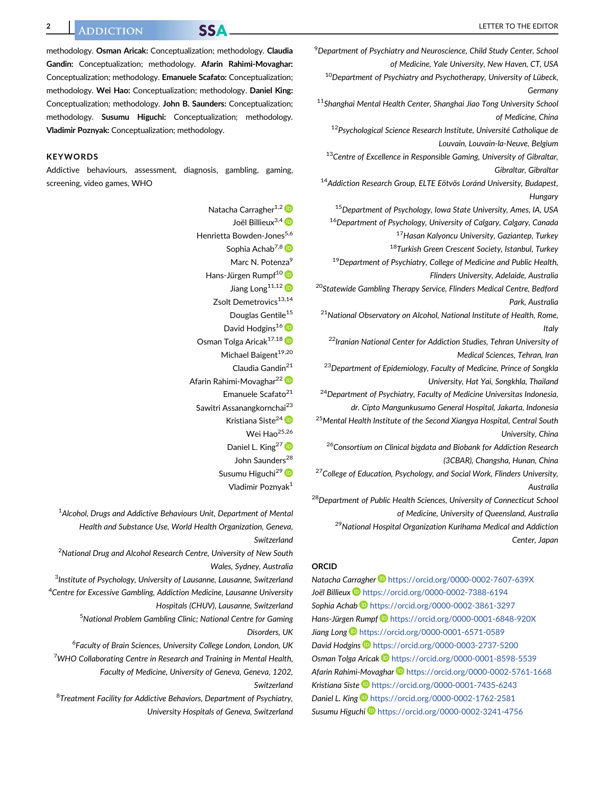methodology. Osman Aricak: Conceptualization; methodology. Claudia Gandin: Conceptualization; methodology. Afarin Rahimi-Movaghar: Conceptualization; methodology. Emanuele Scafato: Conceptualization; methodology. Wei Hao: Conceptualization; methodology. Daniel King: Conceptualization; methodology. John B. Saunders: Conceptualization; methodology. Susumu Higuchi: Conceptualization; methodology. Vladimir Poznyak: Conceptualization; methodology.

#### **KEYWORDS**

Addictive behaviours, assessment, diagnosis, gambling, gaming, screening, video games, WHO

> Natacha Carragher<sup>1,2</sup> Joël Billieux<sup>3,4</sup> D Henrietta Bowden-Jones<sup>5,6</sup> Sophia Achab<sup>7,8</sup> Marc N. Potenza<sup>9</sup> Hans-Jürgen Rumpf<sup>10</sup> Jiang Long<sup>11,12</sup> Zsolt Demetrovics<sup>13,14</sup> Douglas Gentile<sup>15</sup> David Hodgins<sup>16</sup> Osman Tolga Aricak<sup>17,18</sup> Michael Baigent<sup>19,20</sup> Claudia Gandin<sup>21</sup> Afarin Rahimi-Movaghar<sup>22</sup> Emanuele Scafato<sup>21</sup> Sawitri Assanangkornchai<sup>23</sup> Kristiana Siste<sup>24</sup> D Wei Hao<sup>25,26</sup> Daniel L. King<sup>27</sup> John Saunders<sup>28</sup> Susumu Higuchi<sup>29</sup> Vladimir Poznyak1

 $^{\rm 1}$ Alcohol, Drugs and Addictive Behaviours Unit, Department of Mental Health and Substance Use, World Health Organization, Geneva, Switzerland  $^2$ National Drug and Alcohol Research Centre, University of New South Wales, Sydney, Australia <sup>3</sup>Institute of Psychology, University of Lausanne, Lausanne, Switzerland <sup>4</sup>Centre for Excessive Gambling, Addiction Medicine, Lausanne University Hospitals (CHUV), Lausanne, Switzerland <sup>5</sup>National Problem Gambling Clinic; National Centre for Gaming Disorders, UK <sup>6</sup>Faculty of Brain Sciences, University College London, London, UK <sup>7</sup>WHO Collaborating Centre in Research and Training in Mental Health, Faculty of Medicine, University of Geneva, Geneva, 1202, Switzerland <sup>8</sup>Treatment Facility for Addictive Behaviors, Department of Psychiatry, University Hospitals of Geneva, Switzerland <sup>9</sup> Department of Psychiatry and Neuroscience, Child Study Center, School of Medicine, Yale University, New Haven, CT, USA

<sup>10</sup>Department of Psychiatry and Psychotherapy, University of Lübeck, Germany

<sup>11</sup>Shanghai Mental Health Center, Shanghai Jiao Tong University School of Medicine, China

<sup>12</sup>Psychological Science Research Institute, Université Catholique de Louvain, Louvain-la-Neuve, Belgium

<sup>13</sup>Centre of Excellence in Responsible Gaming, University of Gibraltar, Gibraltar, Gibraltar

<sup>14</sup> Addiction Research Group, ELTE Eötvös Loránd University, Budapest, Hungary

<sup>15</sup>Department of Psychology, Iowa State University, Ames, IA, USA

<sup>16</sup>Department of Psychology, University of Calgary, Calgary, Canada

<sup>17</sup>Hasan Kalyoncu University, Gaziantep, Turkey

18Turkish Green Crescent Society, Istanbul, Turkey

<sup>19</sup> Department of Psychiatry, College of Medicine and Public Health, Flinders University, Adelaide, Australia

<sup>20</sup>Statewide Gambling Therapy Service, Flinders Medical Centre, Bedford Park, Australia

<sup>21</sup>National Observatory on Alcohol, National Institute of Health, Rome, **Italy** 

<sup>22</sup> Iranian National Center for Addiction Studies, Tehran University of Medical Sciences, Tehran, Iran

<sup>23</sup>Department of Epidemiology, Faculty of Medicine, Prince of Songkla University, Hat Yai, Songkhla, Thailand

<sup>24</sup>Department of Psychiatry, Faculty of Medicine Universitas Indonesia, dr. Cipto Mangunkusumo General Hospital, Jakarta, Indonesia

<sup>25</sup>Mental Health Institute of the Second Xiangya Hospital, Central South University, China

<sup>26</sup>Consortium on Clinical bigdata and Biobank for Addiction Research (3CBAR), Changsha, Hunan, China

 $27$ College of Education, Psychology, and Social Work, Flinders University, Australia

<sup>28</sup>Department of Public Health Sciences, University of Connecticut School of Medicine, University of Queensland, Australia

<sup>29</sup>National Hospital Organization Kurihama Medical and Addiction Center, Japan

#### ORCID

Natacha Carragher <https://orcid.org/0000-0002-7607-639X> Joël Billieux <https://orcid.org/0000-0002-7388-6194> Sophia Achab <https://orcid.org/0000-0002-3861-3297> Hans-Jürgen Rumpf **b** <https://orcid.org/0000-0001-6848-920X> Jiang Long <https://orcid.org/0000-0001-6571-0589> David Hodgins D<https://orcid.org/0000-0003-2737-5200> Osman Tolga Aricak <https://orcid.org/0000-0001-8598-5539> Afarin Rahimi-Movaghar <https://orcid.org/0000-0002-5761-1668> Kristiana Siste <https://orcid.org/0000-0001-7435-6243> Daniel L. King <sup>1</sup> <https://orcid.org/0000-0002-1762-2581> Susumu Higuchi D <https://orcid.org/0000-0002-3241-4756>